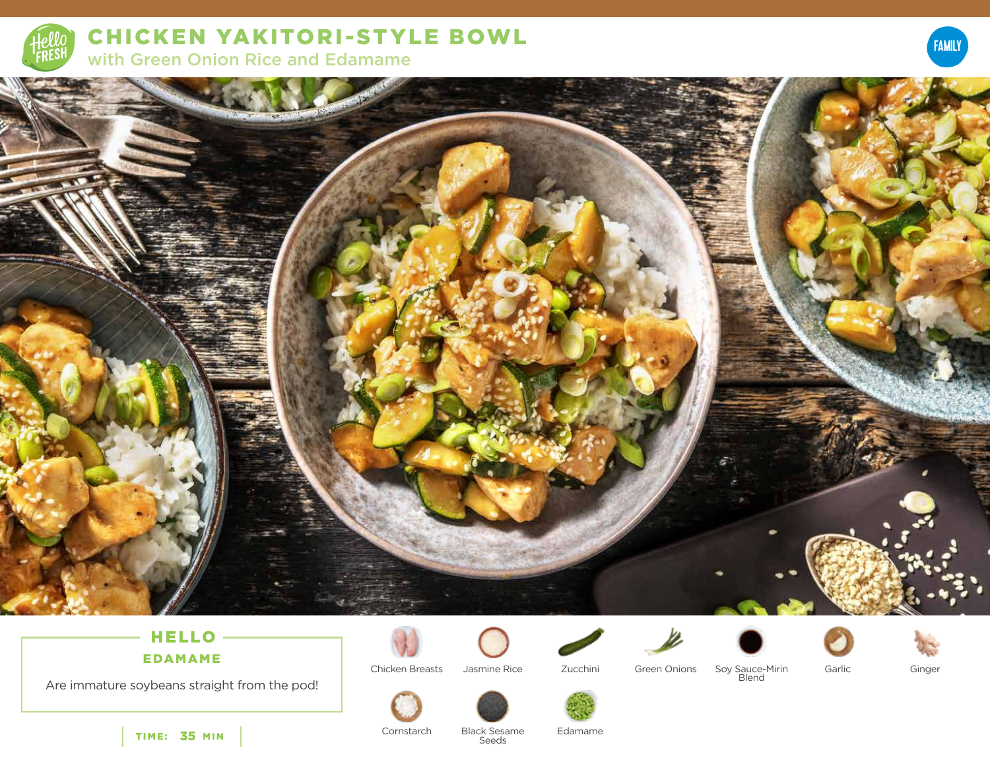

**CHICKEN YAKITORI-STYLE BOWL** with Green Onion Rice and Edamame





# HELLO-**EDAMAME**

Are immature soybeans straight from the pod!



Chicken Breasts Jasmine Rice

Zucchini



Soy Sauce-Mirin<br>Blend



Ginger



Cornstarch



TIME: 35 MIN

**Black Sesame** Seeds

Edamame